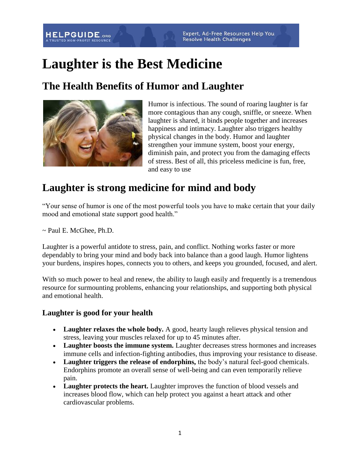# **Laughter is the Best Medicine**

# **The Health Benefits of Humor and Laughter**



Humor is infectious. The sound of roaring laughter is far more contagious than any cough, sniffle, or sneeze. When laughter is shared, it binds people together and increases happiness and intimacy. Laughter also triggers healthy physical changes in the body. Humor and laughter strengthen your immune system, boost your energy, diminish pain, and protect you from the damaging effects of stress. Best of all, this priceless medicine is fun, free, and easy to use

# **Laughter is strong medicine for mind and body**

"Your sense of humor is one of the most powerful tools you have to make certain that your daily mood and emotional state support good health."

 $\sim$  Paul E. McGhee, Ph.D.

Laughter is a powerful antidote to stress, pain, and conflict. Nothing works faster or more dependably to bring your mind and body back into balance than a good laugh. Humor lightens your burdens, inspires hopes, connects you to others, and keeps you grounded, focused, and alert.

With so much power to heal and renew, the ability to laugh easily and frequently is a tremendous resource for surmounting problems, enhancing your relationships, and supporting both physical and emotional health.

#### **Laughter is good for your health**

- **Laughter relaxes the whole body.** A good, hearty laugh relieves physical tension and stress, leaving your muscles relaxed for up to 45 minutes after.
- Laughter boosts the immune system. Laughter decreases stress hormones and increases immune cells and infection-fighting antibodies, thus improving your resistance to disease.
- **Laughter triggers the release of endorphins,** the body's natural feel-good chemicals. Endorphins promote an overall sense of well-being and can even temporarily relieve pain.
- **Laughter protects the heart.** Laughter improves the function of blood vessels and increases blood flow, which can help protect you against a heart attack and other cardiovascular problems.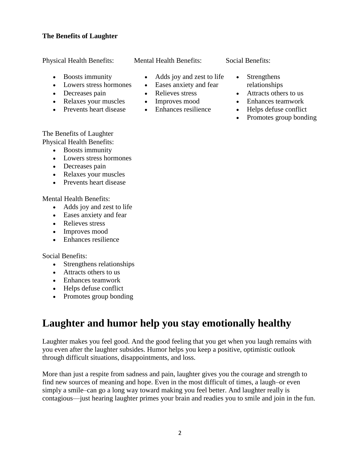#### **The Benefits of Laughter**

Physical Health Benefits:

Mental Health Benefits:

Social Benefits:

- Boosts immunity
- Lowers stress hormones
- Decreases pain
- Relaxes your muscles
- Prevents heart disease
- Adds joy and zest to life
- Eases anxiety and fear
- Relieves stress
- Improves mood
- Enhances resilience
- Strengthens
- relationships
- Attracts others to us
- Enhances teamwork
- Helps defuse conflict
- Promotes group bonding

#### The Benefits of Laughter

Physical Health Benefits:

- Boosts immunity
- Lowers stress hormones
- Decreases pain
- Relaxes your muscles
- Prevents heart disease

#### Mental Health Benefits:

- Adds joy and zest to life
- Eases anxiety and fear
- Relieves stress
- Improves mood
- Enhances resilience

Social Benefits:

- Strengthens relationships
- Attracts others to us
- Enhances teamwork
- Helps defuse conflict
- Promotes group bonding

# **Laughter and humor help you stay emotionally healthy**

Laughter makes you feel good. And the good feeling that you get when you laugh remains with you even after the laughter subsides. Humor helps you keep a positive, optimistic outlook through difficult situations, disappointments, and loss.

More than just a respite from sadness and pain, laughter gives you the courage and strength to find new sources of meaning and hope. Even in the most difficult of times, a laugh–or even simply a smile–can go a long way toward making you feel better. And laughter really is contagious—just hearing laughter primes your brain and readies you to smile and join in the fun.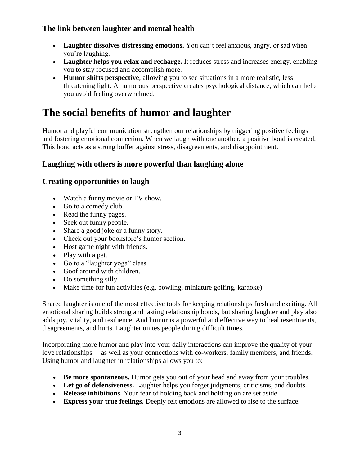### **The link between laughter and mental health**

- **Laughter dissolves distressing emotions.** You can't feel anxious, angry, or sad when you're laughing.
- **Laughter helps you relax and recharge.** It reduces stress and increases energy, enabling you to stay focused and accomplish more.
- **Humor shifts perspective**, allowing you to see situations in a more realistic, less threatening light. A humorous perspective creates psychological distance, which can help you avoid feeling overwhelmed.

### **The social benefits of humor and laughter**

Humor and playful communication strengthen our relationships by triggering positive feelings and fostering emotional connection. When we laugh with one another, a positive bond is created. This bond acts as a strong buffer against stress, disagreements, and disappointment.

#### **Laughing with others is more powerful than laughing alone**

#### **Creating opportunities to laugh**

- Watch a funny movie or TV show.
- Go to a comedy club.
- Read the funny pages.
- Seek out funny people.
- Share a good joke or a funny story.
- Check out your bookstore's humor section.
- Host game night with friends.
- Play with a pet.
- Go to a "laughter yoga" class.
- Goof around with children.
- Do something silly.
- Make time for fun activities (e.g. bowling, miniature golfing, karaoke).

Shared laughter is one of the most effective tools for keeping relationships fresh and exciting. All emotional sharing builds strong and lasting relationship bonds, but sharing laughter and play also adds joy, vitality, and resilience. And humor is a powerful and effective way to heal resentments, disagreements, and hurts. Laughter unites people during difficult times.

Incorporating more humor and play into your daily interactions can improve the quality of your love relationships— as well as your connections with co-workers, family members, and friends. Using humor and laughter in relationships allows you to:

- **Be more spontaneous.** Humor gets you out of your head and away from your troubles.
- **Let go of defensiveness.** Laughter helps you forget judgments, criticisms, and doubts.
- **Release inhibitions.** Your fear of holding back and holding on are set aside.
- **Express your true feelings.** Deeply felt emotions are allowed to rise to the surface.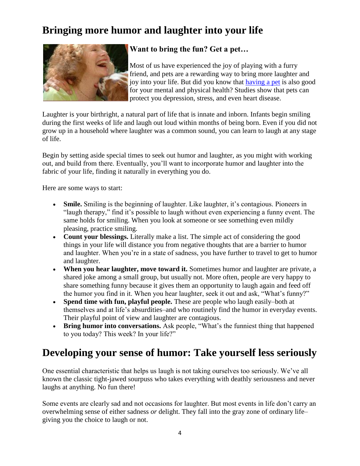# **Bringing more humor and laughter into your life**



**Want to bring the fun? Get a pet…**

Most of us have experienced the joy of playing with a furry friend, and pets are a rewarding way to bring more laughter and joy into your life. But did you know that [having a pet](http://www.helpguide.org/life/pets.htm) is also good for your mental and physical health? Studies show that pets can protect you depression, stress, and even heart disease.

Laughter is your birthright, a natural part of life that is innate and inborn. Infants begin smiling during the first weeks of life and laugh out loud within months of being born. Even if you did not grow up in a household where laughter was a common sound, you can learn to laugh at any stage of life.

Begin by setting aside special times to seek out humor and laughter, as you might with working out, and build from there. Eventually, you'll want to incorporate humor and laughter into the fabric of your life, finding it naturally in everything you do.

Here are some ways to start:

- **Smile.** Smiling is the beginning of laughter. Like laughter, it's contagious. Pioneers in "laugh therapy," find it's possible to laugh without even experiencing a funny event. The same holds for smiling. When you look at someone or see something even mildly pleasing, practice smiling.
- **Count your blessings.** Literally make a list. The simple act of considering the good things in your life will distance you from negative thoughts that are a barrier to humor and laughter. When you're in a state of sadness, you have further to travel to get to humor and laughter.
- **When you hear laughter, move toward it.** Sometimes humor and laughter are private, a shared joke among a small group, but usually not. More often, people are very happy to share something funny because it gives them an opportunity to laugh again and feed off the humor you find in it. When you hear laughter, seek it out and ask, "What's funny?"
- **Spend time with fun, playful people.** These are people who laugh easily–both at themselves and at life's absurdities–and who routinely find the humor in everyday events. Their playful point of view and laughter are contagious.
- **Bring humor into conversations.** Ask people, "What's the funniest thing that happened to you today? This week? In your life?"

### **Developing your sense of humor: Take yourself less seriously**

One essential characteristic that helps us laugh is not taking ourselves too seriously. We've all known the classic tight-jawed sourpuss who takes everything with deathly seriousness and never laughs at anything. No fun there!

Some events are clearly sad and not occasions for laughter. But most events in life don't carry an overwhelming sense of either sadness *or* delight. They fall into the gray zone of ordinary life– giving you the choice to laugh or not.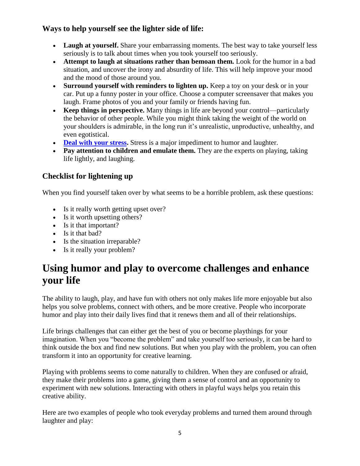### **Ways to help yourself see the lighter side of life:**

- Laugh at yourself. Share your embarrassing moments. The best way to take yourself less seriously is to talk about times when you took yourself too seriously.
- **Attempt to laugh at situations rather than bemoan them.** Look for the humor in a bad situation, and uncover the irony and absurdity of life. This will help improve your mood and the mood of those around you.
- **Surround yourself with reminders to lighten up.** Keep a toy on your desk or in your car. Put up a funny poster in your office. Choose a computer screensaver that makes you laugh. Frame photos of you and your family or friends having fun.
- **Keep things in perspective.** Many things in life are beyond your control—particularly the behavior of other people. While you might think taking the weight of the world on your shoulders is admirable, in the long run it's unrealistic, unproductive, unhealthy, and even egotistical.
- **[Deal with your stress.](http://www.helpguide.org/mental/stress_management_relief_coping.htm)** Stress is a major impediment to humor and laughter.
- **Pay attention to children and emulate them.** They are the experts on playing, taking life lightly, and laughing.

#### **Checklist for lightening up**

When you find yourself taken over by what seems to be a horrible problem, ask these questions:

- Is it really worth getting upset over?
- Is it worth upsetting others?
- Is it that important?
- Is it that bad?
- Is the situation irreparable?
- Is it really your problem?

### **Using humor and play to overcome challenges and enhance your life**

The ability to laugh, play, and have fun with others not only makes life more enjoyable but also helps you solve problems, connect with others, and be more creative. People who incorporate humor and play into their daily lives find that it renews them and all of their relationships.

Life brings challenges that can either get the best of you or become playthings for your imagination. When you "become the problem" and take yourself too seriously, it can be hard to think outside the box and find new solutions. But when you play with the problem, you can often transform it into an opportunity for creative learning.

Playing with problems seems to come naturally to children. When they are confused or afraid, they make their problems into a game, giving them a sense of control and an opportunity to experiment with new solutions. Interacting with others in playful ways helps you retain this creative ability.

Here are two examples of people who took everyday problems and turned them around through laughter and play: